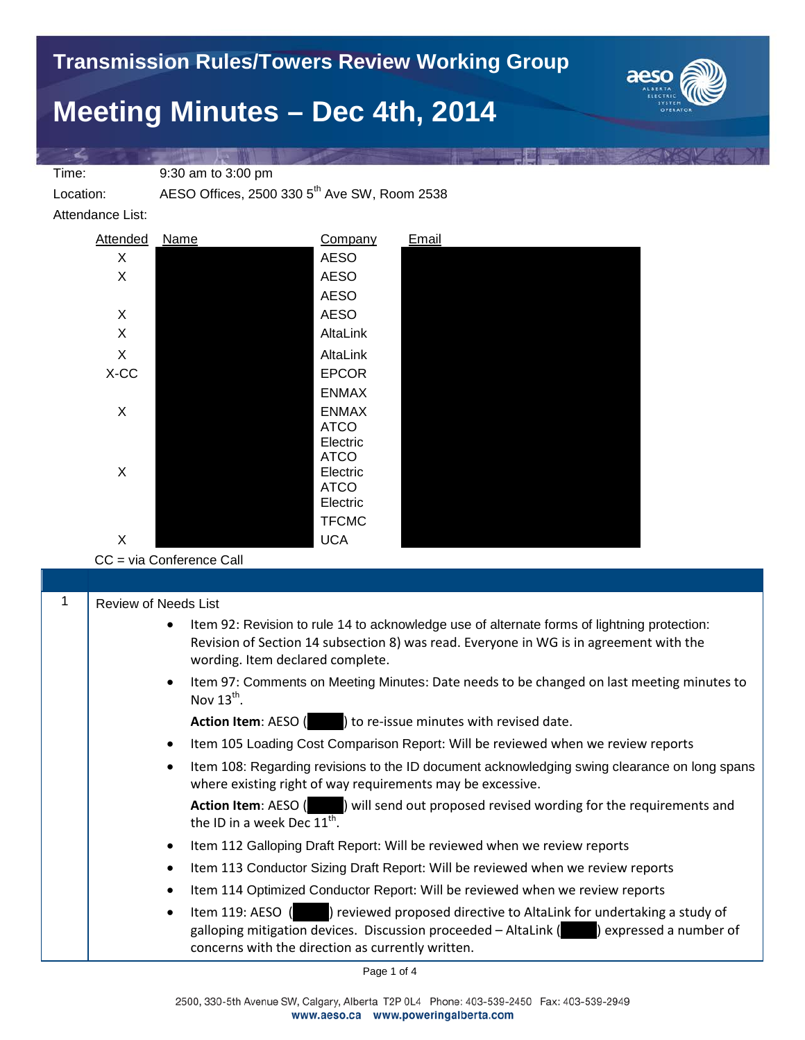## **Meeting Minutes – Dec 4th, 2014**



Time: 9:30 am to 3:00 pm

Location: AESO Offices, 2500 330 5<sup>th</sup> Ave SW, Room 2538

Attendance List:



CC = via Conference Call

| <b>Review of Needs List</b>                                                                                                                                                                                                                          |
|------------------------------------------------------------------------------------------------------------------------------------------------------------------------------------------------------------------------------------------------------|
| Item 92: Revision to rule 14 to acknowledge use of alternate forms of lightning protection:<br>Revision of Section 14 subsection 8) was read. Everyone in WG is in agreement with the<br>wording. Item declared complete.                            |
| Item 97: Comments on Meeting Minutes: Date needs to be changed on last meeting minutes to<br>$\bullet$<br>Nov $13^{th}$ .                                                                                                                            |
| Action Item: AESO ( ) to re-issue minutes with revised date.                                                                                                                                                                                         |
| Item 105 Loading Cost Comparison Report: Will be reviewed when we review reports<br>$\bullet$                                                                                                                                                        |
| Item 108: Regarding revisions to the ID document acknowledging swing clearance on long spans<br>$\bullet$<br>where existing right of way requirements may be excessive.                                                                              |
| <b>Action Item:</b> AESO ( ) will send out proposed revised wording for the requirements and<br>the ID in a week Dec $11^{\text{th}}$ .                                                                                                              |
| Item 112 Galloping Draft Report: Will be reviewed when we review reports                                                                                                                                                                             |
| Item 113 Conductor Sizing Draft Report: Will be reviewed when we review reports<br>$\bullet$                                                                                                                                                         |
| Item 114 Optimized Conductor Report: Will be reviewed when we review reports<br>$\bullet$                                                                                                                                                            |
| ) reviewed proposed directive to AltaLink for undertaking a study of<br>Item 119: AESO (<br>$\bullet$<br>galloping mitigation devices. Discussion proceeded - AltaLink () expressed a number of<br>concerns with the direction as currently written. |

Page 1 of 4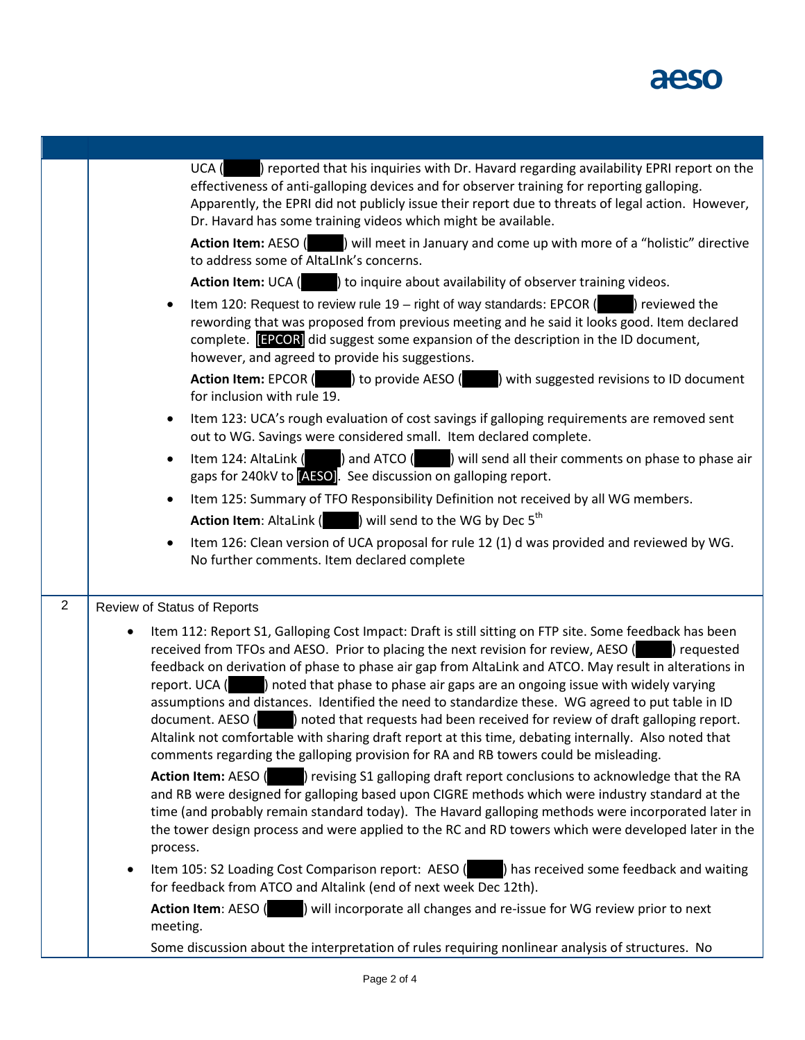

|                     | ) reported that his inquiries with Dr. Havard regarding availability EPRI report on the<br>UCA (<br>effectiveness of anti-galloping devices and for observer training for reporting galloping.<br>Apparently, the EPRI did not publicly issue their report due to threats of legal action. However,<br>Dr. Havard has some training videos which might be available.<br>Action Item: AESO (Welly 1) will meet in January and come up with more of a "holistic" directive<br>to address some of AltaLInk's concerns.<br><b>Action Item:</b> UCA ( ) to inquire about availability of observer training videos.<br>Item 120: Request to review rule 19 - right of way standards: EPCOR $($ $)$ reviewed the<br>$\bullet$<br>rewording that was proposed from previous meeting and he said it looks good. Item declared<br>complete. <b>[EPCOR]</b> did suggest some expansion of the description in the ID document,<br>however, and agreed to provide his suggestions.<br><b>Action Item:</b> EPCOR ( ) to provide AESO ( ) with suggested revisions to ID document<br>for inclusion with rule 19.<br>Item 123: UCA's rough evaluation of cost savings if galloping requirements are removed sent<br>٠<br>out to WG. Savings were considered small. Item declared complete.<br>Item 124: AltaLink $($ and ATCO $($ $)$ will send all their comments on phase to phase air<br>٠<br>gaps for 240kV to [AESO]. See discussion on galloping report.<br>Item 125: Summary of TFO Responsibility Definition not received by all WG members.<br>$\bullet$<br><b>Action Item:</b> AltaLink $($ $)$ will send to the WG by Dec 5 <sup>th</sup>                                                  |
|---------------------|---------------------------------------------------------------------------------------------------------------------------------------------------------------------------------------------------------------------------------------------------------------------------------------------------------------------------------------------------------------------------------------------------------------------------------------------------------------------------------------------------------------------------------------------------------------------------------------------------------------------------------------------------------------------------------------------------------------------------------------------------------------------------------------------------------------------------------------------------------------------------------------------------------------------------------------------------------------------------------------------------------------------------------------------------------------------------------------------------------------------------------------------------------------------------------------------------------------------------------------------------------------------------------------------------------------------------------------------------------------------------------------------------------------------------------------------------------------------------------------------------------------------------------------------------------------------------------------------------------------------------------------------------------------------------------------|
|                     | Item 126: Clean version of UCA proposal for rule 12 (1) d was provided and reviewed by WG.<br>$\bullet$<br>No further comments. Item declared complete                                                                                                                                                                                                                                                                                                                                                                                                                                                                                                                                                                                                                                                                                                                                                                                                                                                                                                                                                                                                                                                                                                                                                                                                                                                                                                                                                                                                                                                                                                                                |
| $\overline{2}$<br>٠ | Review of Status of Reports<br>Item 112: Report S1, Galloping Cost Impact: Draft is still sitting on FTP site. Some feedback has been<br>received from TFOs and AESO. Prior to placing the next revision for review, AESO ( ) requested<br>feedback on derivation of phase to phase air gap from AltaLink and ATCO. May result in alterations in<br>report. UCA () noted that phase to phase air gaps are an ongoing issue with widely varying<br>assumptions and distances. Identified the need to standardize these. WG agreed to put table in ID<br>document. AESO ( ) noted that requests had been received for review of draft galloping report.<br>Altalink not comfortable with sharing draft report at this time, debating internally. Also noted that<br>comments regarding the galloping provision for RA and RB towers could be misleading.<br>Action Item: AESO ( ) revising S1 galloping draft report conclusions to acknowledge that the RA<br>and RB were designed for galloping based upon CIGRE methods which were industry standard at the<br>time (and probably remain standard today). The Havard galloping methods were incorporated later in<br>the tower design process and were applied to the RC and RD towers which were developed later in the<br>process.<br>Item 105: S2 Loading Cost Comparison report: AESO (<br>) has received some feedback and waiting<br>for feedback from ATCO and Altalink (end of next week Dec 12th).<br>) will incorporate all changes and re-issue for WG review prior to next<br><b>Action Item: AESO (</b><br>meeting.<br>Some discussion about the interpretation of rules requiring nonlinear analysis of structures. No |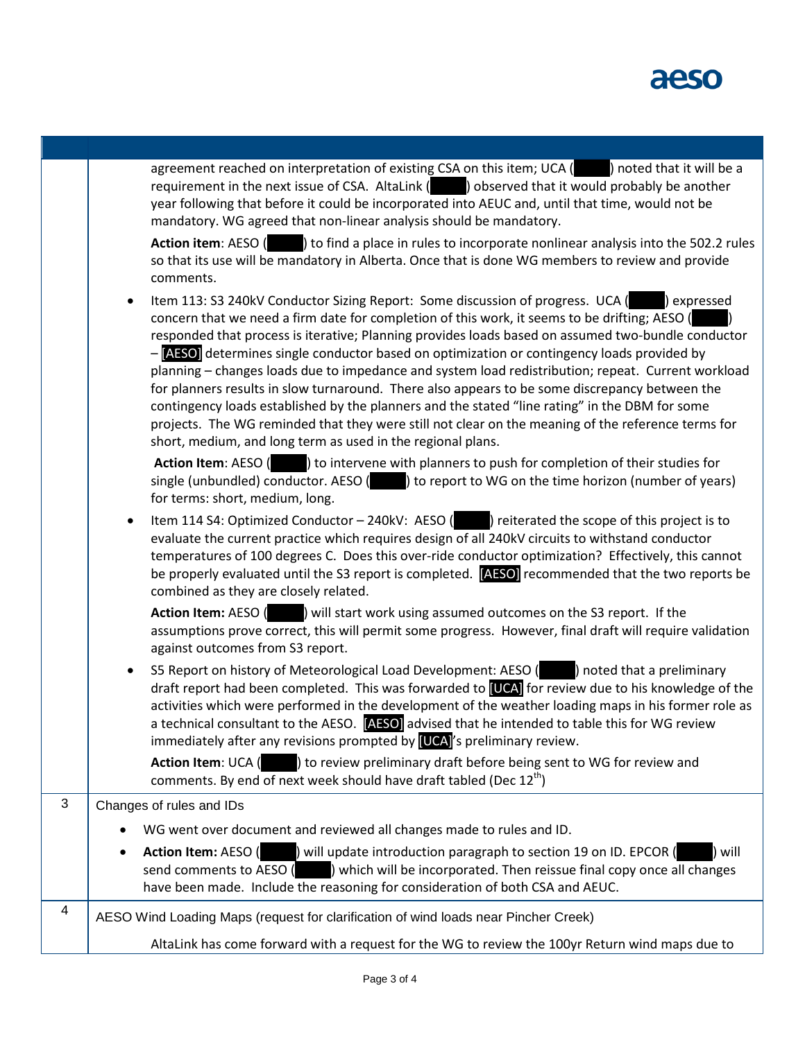

|   | agreement reached on interpretation of existing CSA on this item; UCA (<br>) noted that it will be a<br>requirement in the next issue of CSA. AltaLink () observed that it would probably be another<br>year following that before it could be incorporated into AEUC and, until that time, would not be<br>mandatory. WG agreed that non-linear analysis should be mandatory.<br>Action item: AESO (All 2015) to find a place in rules to incorporate nonlinear analysis into the 502.2 rules<br>so that its use will be mandatory in Alberta. Once that is done WG members to review and provide<br>comments.                                                                                                                                                                                                                                                                            |
|---|--------------------------------------------------------------------------------------------------------------------------------------------------------------------------------------------------------------------------------------------------------------------------------------------------------------------------------------------------------------------------------------------------------------------------------------------------------------------------------------------------------------------------------------------------------------------------------------------------------------------------------------------------------------------------------------------------------------------------------------------------------------------------------------------------------------------------------------------------------------------------------------------|
|   | Item 113: S3 240kV Conductor Sizing Report: Some discussion of progress. UCA (Sexpressed<br>$\bullet$<br>concern that we need a firm date for completion of this work, it seems to be drifting; AESO (<br>responded that process is iterative; Planning provides loads based on assumed two-bundle conductor<br>- [AFSO] determines single conductor based on optimization or contingency loads provided by<br>planning - changes loads due to impedance and system load redistribution; repeat. Current workload<br>for planners results in slow turnaround. There also appears to be some discrepancy between the<br>contingency loads established by the planners and the stated "line rating" in the DBM for some<br>projects. The WG reminded that they were still not clear on the meaning of the reference terms for<br>short, medium, and long term as used in the regional plans. |
|   | Action Item: AESO ( ) to intervene with planners to push for completion of their studies for<br>single (unbundled) conductor. AESO $($ $)$ to report to WG on the time horizon (number of years)<br>for terms: short, medium, long.                                                                                                                                                                                                                                                                                                                                                                                                                                                                                                                                                                                                                                                        |
|   | Item 114 S4: Optimized Conductor $-$ 240kV: AESO ( $\blacksquare$ ) reiterated the scope of this project is to<br>$\bullet$<br>evaluate the current practice which requires design of all 240kV circuits to withstand conductor<br>temperatures of 100 degrees C. Does this over-ride conductor optimization? Effectively, this cannot<br>be properly evaluated until the S3 report is completed. [AESO] recommended that the two reports be<br>combined as they are closely related.                                                                                                                                                                                                                                                                                                                                                                                                      |
|   | Action Item: AESO ( ) will start work using assumed outcomes on the S3 report. If the<br>assumptions prove correct, this will permit some progress. However, final draft will require validation<br>against outcomes from S3 report.                                                                                                                                                                                                                                                                                                                                                                                                                                                                                                                                                                                                                                                       |
|   | S5 Report on history of Meteorological Load Development: AESO () noted that a preliminary<br>٠<br>draft report had been completed. This was forwarded to [UCA] for review due to his knowledge of the<br>activities which were performed in the development of the weather loading maps in his former role as<br>a technical consultant to the AESO. [AESO] advised that he intended to table this for WG review<br>immediately after any revisions prompted by $[UCA]'s$ preliminary review.                                                                                                                                                                                                                                                                                                                                                                                              |
|   | Action Item: UCA () to review preliminary draft before being sent to WG for review and<br>comments. By end of next week should have draft tabled (Dec 12 <sup>th</sup> )                                                                                                                                                                                                                                                                                                                                                                                                                                                                                                                                                                                                                                                                                                                   |
| 3 | Changes of rules and IDs                                                                                                                                                                                                                                                                                                                                                                                                                                                                                                                                                                                                                                                                                                                                                                                                                                                                   |
|   | WG went over document and reviewed all changes made to rules and ID.                                                                                                                                                                                                                                                                                                                                                                                                                                                                                                                                                                                                                                                                                                                                                                                                                       |
|   | <b>Action Item: AESO (</b><br>) will update introduction paragraph to section 19 on ID. EPCOR (<br>will<br>٠<br>send comments to AESO ( ) which will be incorporated. Then reissue final copy once all changes<br>have been made. Include the reasoning for consideration of both CSA and AEUC.                                                                                                                                                                                                                                                                                                                                                                                                                                                                                                                                                                                            |
| 4 | AESO Wind Loading Maps (request for clarification of wind loads near Pincher Creek)                                                                                                                                                                                                                                                                                                                                                                                                                                                                                                                                                                                                                                                                                                                                                                                                        |
|   | AltaLink has come forward with a request for the WG to review the 100yr Return wind maps due to                                                                                                                                                                                                                                                                                                                                                                                                                                                                                                                                                                                                                                                                                                                                                                                            |
|   |                                                                                                                                                                                                                                                                                                                                                                                                                                                                                                                                                                                                                                                                                                                                                                                                                                                                                            |